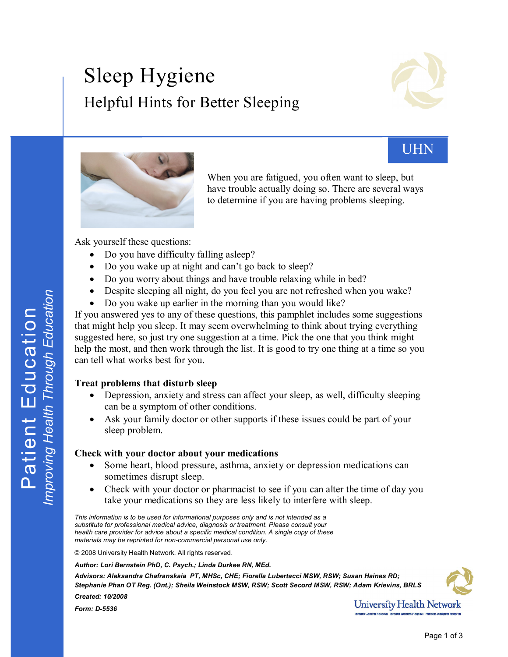# Sleep Hygiene Helpful Hints for Better Sleeping





UHN

When you are fatigued, you often want to sleep, but have trouble actually doing so. There are several ways to determine if you are having problems sleeping.

Ask yourself these questions:

- Do you have difficulty falling asleep?
- Do you wake up at night and can't go back to sleep?
- · Do you worry about things and have trouble relaxing while in bed?
- Despite sleeping all night, do you feel you are not refreshed when you wake?
- Do you wake up earlier in the morning than you would like?

If you answered yes to any of these questions, this pamphlet includes some suggestions that might help you sleep. It may seem overwhelming to think about trying everything suggested here, so just try one suggestion at a time. Pick the one that you think might help the most, and then work through the list. It is good to try one thing at a time so you can tell what works best for you.

## **Treat problems that disturb sleep**

- Depression, anxiety and stress can affect your sleep, as well, difficulty sleeping can be a symptom of other conditions.
- Ask your family doctor or other supports if these issues could be part of your sleep problem.

#### **Check with your doctor about your medications**

- Some heart, blood pressure, asthma, anxiety or depression medications can sometimes disrupt sleep.
- Check with your doctor or pharmacist to see if you can alter the time of day you take your medications so they are less likely to interfere with sleep.  $\bullet$

*This information is to be used for informational purposes only and is not intended as a substitute for professional medical advice, diagnosis or treatment. Please consult your health care provider for advice about a specific medical condition. A single copy of these materials may be reprinted for noncommercial personal use only.*

© 2008 University Health Network. All rights reserved.

*Form: D-5536* 

*Author: Lori Bernstein PhD, C. Psych.; Linda Durkee RN, MEd.*

*Advisors: Aleksandra Chafranskaia PT, MHSc, CHE; Fiorella Lubertacci MSW, RSW; Susan Haines RD; Stephanie Phan OT Reg. (Ont.); Sheila Weinstock MSW, RSW; Scott Secord MSW, RSW; Adam Krievins, BRLS Created: 10/2008*



**University Health Network**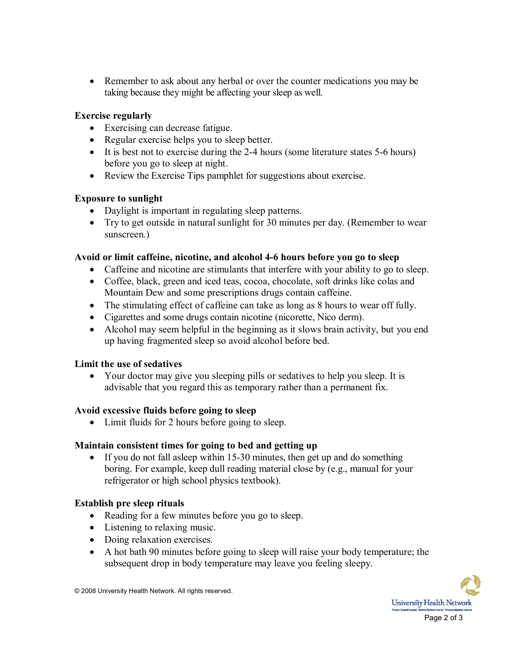• Remember to ask about any herbal or over the counter medications you may be taking because they might be affecting your sleep as well.

#### **Exercise regularly**

- · Exercising can decrease fatigue.
- · Regular exercise helps you to sleep better.
- It is best not to exercise during the 2-4 hours (some literature states  $5-6$  hours) before you go to sleep at night.
- Review the Exercise Tips pamphlet for suggestions about exercise.

## **Exposure to sunlight**

- Daylight is important in regulating sleep patterns.
- · Try to get outside in natural sunlight for 30 minutes per day. (Remember to wear sunscreen.)

## **Avoid or limit caffeine, nicotine, and alcohol 46 hours before you go to sleep**

- Caffeine and nicotine are stimulants that interfere with your ability to go to sleep.
- · Coffee, black, green and iced teas, cocoa, chocolate, soft drinks like colas and Mountain Dew and some prescriptions drugs contain caffeine.
- · The stimulating effect of caffeine can take as long as 8 hours to wear off fully.
- · Cigarettes and some drugs contain nicotine (nicorette, Nico derm).
- · Alcohol may seem helpful in the beginning as it slows brain activity, but you end up having fragmented sleep so avoid alcohol before bed.

## **Limit the use of sedatives**

· Your doctor may give you sleeping pills or sedatives to help you sleep. It is advisable that you regard this as temporary rather than a permanent fix.

## **Avoid excessive fluids before going to sleep**

• Limit fluids for 2 hours before going to sleep.

## **Maintain consistent times for going to bed and getting up**

• If you do not fall asleep within 15-30 minutes, then get up and do something boring. For example, keep dull reading material close by (e.g., manual for your refrigerator or high school physics textbook).

## **Establish pre sleep rituals**

- Reading for a few minutes before you go to sleep.
- Listening to relaxing music.
- Doing relaxation exercises.
- · A hot bath 90 minutes before going to sleep will raise your body temperature; the subsequent drop in body temperature may leave you feeling sleepy.



© 2008 University Health Network. All rights reserved.